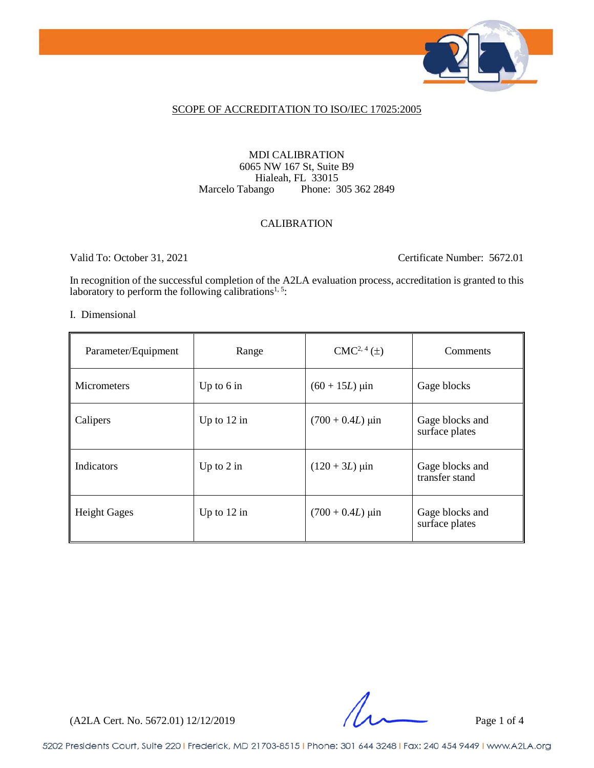

### SCOPE OF ACCREDITATION TO ISO/IEC 17025:2005

### MDI CALIBRATION 6065 NW 167 St, Suite B9 Hialeah, FL 33015<br>Marcelo Tabango Phone: 3 Phone: 305 362 2849

#### CALIBRATION

Valid To: October 31, 2021 Certificate Number: 5672.01

In recognition of the successful completion of the A2LA evaluation process, accreditation is granted to this laboratory to perform the following calibrations<sup>1, 5</sup>:

#### I. Dimensional

| Parameter/Equipment | Range         | $CMC2, 4(\pm)$              | Comments                          |
|---------------------|---------------|-----------------------------|-----------------------------------|
| <b>Micrometers</b>  | Up to $6$ in  | $(60 + 15L)$ µin            | Gage blocks                       |
| Calipers            | Up to $12$ in | $(700 + 0.4L)$ µin          | Gage blocks and<br>surface plates |
| Indicators          | Up to $2$ in  | $(120 + 3L) \,\mu\text{in}$ | Gage blocks and<br>transfer stand |
| <b>Height Gages</b> | Up to $12$ in | $(700 + 0.4L)$ µin          | Gage blocks and<br>surface plates |

(A2LA Cert. No. 5672.01) 12/12/2019 Page 1 of 4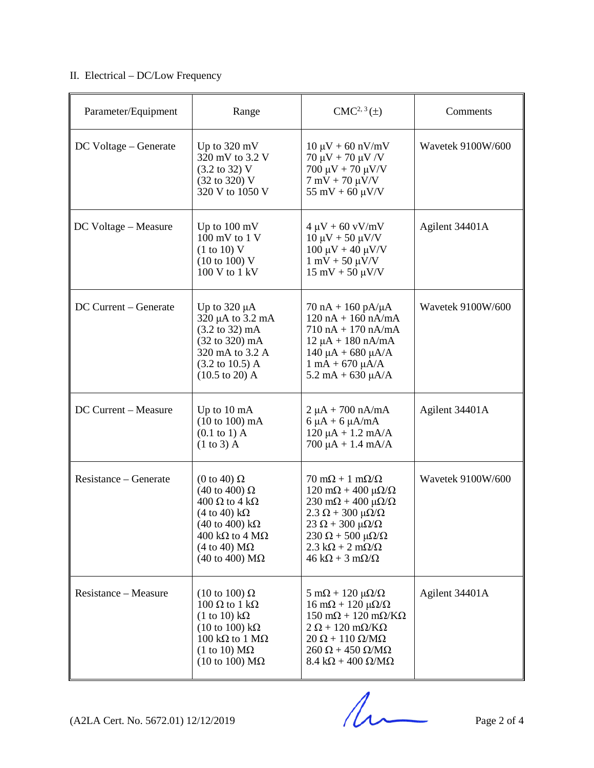## II. Electrical – DC/Low Frequency

| Parameter/Equipment   | Range                                                                                                                                                                                                                                                                                | $CMC2, 3(\pm)$                                                                                                                                                                                                                                                                                                                                                 | Comments                 |
|-----------------------|--------------------------------------------------------------------------------------------------------------------------------------------------------------------------------------------------------------------------------------------------------------------------------------|----------------------------------------------------------------------------------------------------------------------------------------------------------------------------------------------------------------------------------------------------------------------------------------------------------------------------------------------------------------|--------------------------|
| DC Voltage – Generate | Up to $320 \text{ mV}$<br>320 mV to 3.2 V<br>$(3.2 \text{ to } 32)$ V<br>(32 to 320) V<br>320 V to 1050 V                                                                                                                                                                            | $10 \mu V + 60 \frac{\text{nV}}{\text{mV}}$<br>$70 \mu V + 70 \mu V/V$<br>$700 \mu V + 70 \mu V/V$<br>$7 \text{ mV} + 70 \text{ }\mu\text{V/V}$<br>$55 \text{ mV} + 60 \text{ }\mu\text{V/V}$                                                                                                                                                                  | Wavetek 9100W/600        |
| DC Voltage – Measure  | Up to $100 \text{ mV}$<br>$100 \text{ mV}$ to $1 \text{V}$<br>(1 to 10) V<br>$(10 \text{ to } 100) \text{ V}$<br>100 V to 1 kV                                                                                                                                                       | $4 \mu V + 60 \text{ vV/mV}$<br>$10 \mu V + 50 \mu V/V$<br>$100 \mu V + 40 \mu V/V$<br>$1 \text{ mV} + 50 \text{ }\mu\text{V/V}$<br>$15 \text{ mV} + 50 \mu V/V$                                                                                                                                                                                               | Agilent 34401A           |
| DC Current - Generate | Up to $320 \mu A$<br>320 µA to 3.2 mA<br>(3.2 to 32) mA<br>$(32 \text{ to } 320) \text{ mA}$<br>320 mA to 3.2 A<br>$(3.2 \text{ to } 10.5) \text{ A}$<br>$(10.5 \text{ to } 20)$ A                                                                                                   | $70 nA + 160 pA/\mu A$<br>$120 nA + 160 nA/mA$<br>$710 nA + 170 nA/mA$<br>$12 \mu A + 180 \text{ nA/mA}$<br>$140 \mu A + 680 \mu A/A$<br>$1 \text{ mA} + 670 \text{ }\mu\text{A/A}$<br>$5.2 \text{ mA} + 630 \mu\text{A/A}$                                                                                                                                    | <b>Wavetek 9100W/600</b> |
| DC Current - Measure  | Up to $10 \text{ mA}$<br>$(10 to 100)$ mA<br>$(0.1 \text{ to } 1)$ A<br>$(1 \text{ to } 3)$ A                                                                                                                                                                                        | $2 \mu A + 700 \text{ nA/mA}$<br>$6 \mu A + 6 \mu A/mA$<br>$120 \mu A + 1.2 \ mA/A$<br>$700 \mu A + 1.4 \text{ mA/A}$                                                                                                                                                                                                                                          | Agilent 34401A           |
| Resistance – Generate | (0 to 40) $\Omega$<br>(40 to 400) $\Omega$<br>$400 \Omega$ to 4 k $\Omega$<br>$(4 \text{ to } 40) \text{ k}\Omega$<br>$(40 \text{ to } 400) \text{ k}\Omega$<br>$400 \text{ k}\Omega$ to $4 \text{ M}\Omega$<br>$(4 \text{ to } 40) \text{ M}\Omega$<br>(40 to 400) $\text{M}\Omega$ | $70 \text{ mA} + 1 \text{ mA}/\Omega$<br>$120 \text{ mA} + 400 \text{ }\mu\Omega/\Omega$<br>$230 \text{ mA} + 400 \mu\Omega/\Omega$<br>$2.3 \Omega + 300 \mu\Omega/\Omega$<br>$23 \Omega + 300 \mu\Omega/\Omega$<br>$230 \Omega + 500 \mu\Omega/\Omega$<br>$2.3 \text{ k}\Omega + 2 \text{ m}\Omega/\Omega$<br>$46 \text{ k}\Omega + 3 \text{ m}\Omega/\Omega$ | <b>Wavetek 9100W/600</b> |
| Resistance – Measure  | $(10 \text{ to } 100) \Omega$<br>$100 \Omega$ to $1 k\Omega$<br>$(1 \text{ to } 10) \text{ k}\Omega$<br>$(10 \text{ to } 100) \text{ k}\Omega$<br>$100 \text{ k}\Omega$ to $1 \text{ M}\Omega$<br>$(1 \text{ to } 10) \text{ M}\Omega$<br>$(10 \text{ to } 100) \text{ M}\Omega$     | $5 \text{ mA} + 120 \text{ }\mu\Omega/\Omega$<br>$16 \text{ mA} + 120 \mu\Omega/\Omega$<br>$150 \text{ mA} + 120 \text{ mA}$<br>$2 \Omega + 120 \text{ m}\Omega/\text{K}\Omega$<br>$20 \Omega + 110 \Omega/M\Omega$<br>$260 \Omega + 450 \Omega/M\Omega$<br>$8.4 \text{ k}\Omega + 400 \Omega/\text{M}\Omega$                                                  | Agilent 34401A           |

 $(A2LA$  Cert. No. 5672.01) 12/12/2019 Page 2 of 4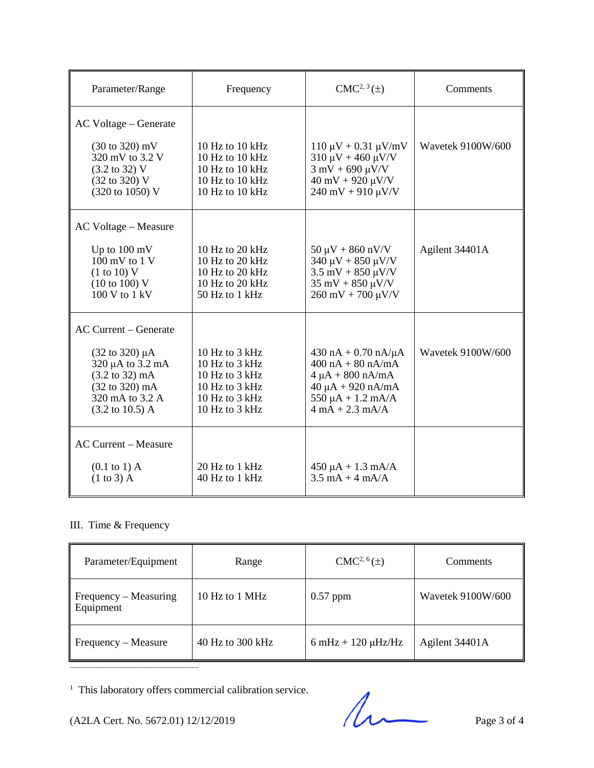| Parameter/Range                                                                                                                                                  | Frequency                                                                                                  | $CMC2, 3(\pm)$                                                                                                                                                                                  | Comments                 |
|------------------------------------------------------------------------------------------------------------------------------------------------------------------|------------------------------------------------------------------------------------------------------------|-------------------------------------------------------------------------------------------------------------------------------------------------------------------------------------------------|--------------------------|
| AC Voltage – Generate                                                                                                                                            |                                                                                                            |                                                                                                                                                                                                 |                          |
| $(30 \text{ to } 320) \text{ mV}$<br>320 mV to 3.2 V<br>$(3.2 \text{ to } 32) \text{ V}$<br>(32 to 320) V<br>(320 to 1050) V                                     | 10 Hz to 10 kHz<br>10 Hz to 10 kHz<br>10 Hz to 10 kHz<br>10 Hz to 10 kHz<br>10 Hz to 10 kHz                | $110 \mu V + 0.31 \mu V/mV$<br>$310 \mu V + 460 \mu V/V$<br>$3 \text{ mV} + 690 \text{ }\mu\text{V/V}$<br>$40 \text{ mV} + 920 \text{ }\mu\text{V/V}$<br>$240 \text{ mV} + 910 \text{ \mu V/V}$ | <b>Wavetek 9100W/600</b> |
| AC Voltage – Measure                                                                                                                                             |                                                                                                            |                                                                                                                                                                                                 |                          |
| Up to $100 \text{ mV}$<br>$100 \text{ mV}$ to $1 \text{V}$<br>(1 to 10) V<br>$(10 \text{ to } 100) \text{ V}$<br>$100 V$ to $1 kV$                               | 10 Hz to 20 kHz<br>10 Hz to 20 kHz<br>10 Hz to 20 kHz<br>10 Hz to 20 kHz<br>50 Hz to 1 kHz                 | $50 \mu V + 860 \frac{\mu V}{V}$<br>$340 \mu V + 850 \mu V/V$<br>$3.5$ mV + 850 $\mu$ V/V<br>$35 \text{ mV} + 850 \text{ \mu V/V}$<br>$260$ mV + 700 $\mu$ V/V                                  | Agilent 34401A           |
| <b>AC Current – Generate</b>                                                                                                                                     |                                                                                                            |                                                                                                                                                                                                 |                          |
| $(32 \text{ to } 320) \mu A$<br>320 µA to 3.2 mA<br>$(3.2 \text{ to } 32) \text{ mA}$<br>(32 to 320) mA<br>320 mA to 3.2 A<br>$(3.2 \text{ to } 10.5) \text{ A}$ | 10 Hz to $3$ kHz<br>10 Hz to 3 kHz<br>10 Hz to 3 kHz<br>10 Hz to 3 kHz<br>10 Hz to 3 kHz<br>10 Hz to 3 kHz | $430 nA + 0.70 nA/\mu A$<br>$400 \text{ nA} + 80 \text{ nA/mA}$<br>$4 \mu A + 800 \text{ nA/mA}$<br>$40 \mu A + 920 \text{ nA/mA}$<br>$550 \mu A + 1.2 \text{ mA/A}$<br>$4 mA + 2.3 mA/A$       | Wavetek 9100W/600        |
| <b>AC Current - Measure</b>                                                                                                                                      |                                                                                                            |                                                                                                                                                                                                 |                          |
| $(0.1 \text{ to } 1)$ A<br>$(1 \text{ to } 3)$ A                                                                                                                 | 20 Hz to 1 kHz<br>40 Hz to 1 kHz                                                                           | $450 \mu A + 1.3 \text{ mA/A}$<br>$3.5 \text{ mA} + 4 \text{ mA}$                                                                                                                               |                          |

# III. Time & Frequency

| Parameter/Equipment                | Range            | $CMC2, 6(\pm)$                         | <b>Comments</b>   |
|------------------------------------|------------------|----------------------------------------|-------------------|
| Frequency – Measuring<br>Equipment | 10 Hz to 1 MHz   | $0.57$ ppm                             | Wavetek 9100W/600 |
| Frequency - Measure                | 40 Hz to 300 kHz | $6 \text{ mHz} + 120 \mu \text{Hz/Hz}$ | Agilent 34401A    |

 $^{\rm 1}$  This laboratory offers commercial calibration service.

This laboratory offers commercial calibration service.<br>
(A2LA Cert. No. 5672.01) 12/12/2019 Page 3 of 4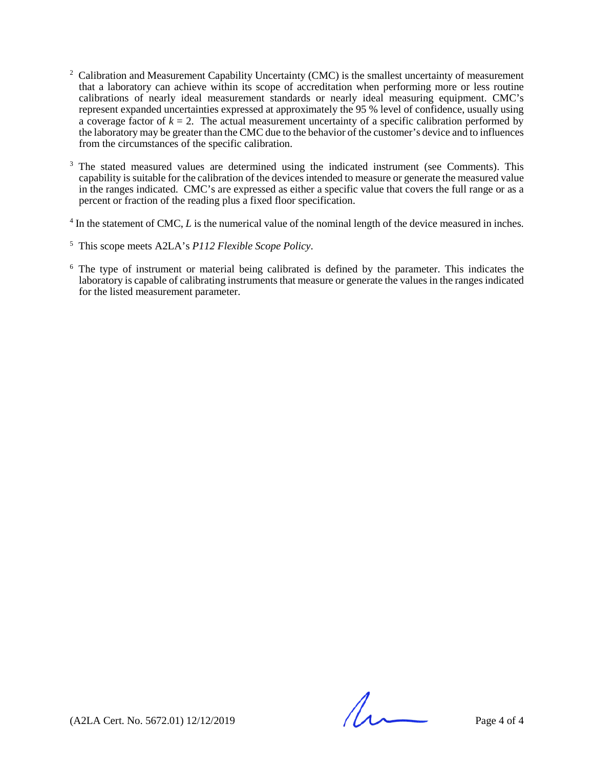- <sup>2</sup> Calibration and Measurement Capability Uncertainty (CMC) is the smallest uncertainty of measurement that a laboratory can achieve within its scope of accreditation when performing more or less routine calibrations of nearly ideal measurement standards or nearly ideal measuring equipment. CMC's represent expanded uncertainties expressed at approximately the 95 % level of confidence, usually using a coverage factor of  $k = 2$ . The actual measurement uncertainty of a specific calibration performed by the laboratory may be greater than the CMC due to the behavior of the customer's device and to influences from the circumstances of the specific calibration.
- <sup>3</sup> The stated measured values are determined using the indicated instrument (see Comments). This capability is suitable for the calibration of the devices intended to measure or generate the measured value in the ranges indicated. CMC's are expressed as either a specific value that covers the full range or as a percent or fraction of the reading plus a fixed floor specification.
- <sup>4</sup> In the statement of CMC, *L* is the numerical value of the nominal length of the device measured in inches.

<sup>5</sup> This scope meets A2LA's *P112 Flexible Scope Policy*.

<sup>6</sup> The type of instrument or material being calibrated is defined by the parameter. This indicates the laboratory is capable of calibrating instruments that measure or generate the values in the ranges indicated for the listed measurement parameter.